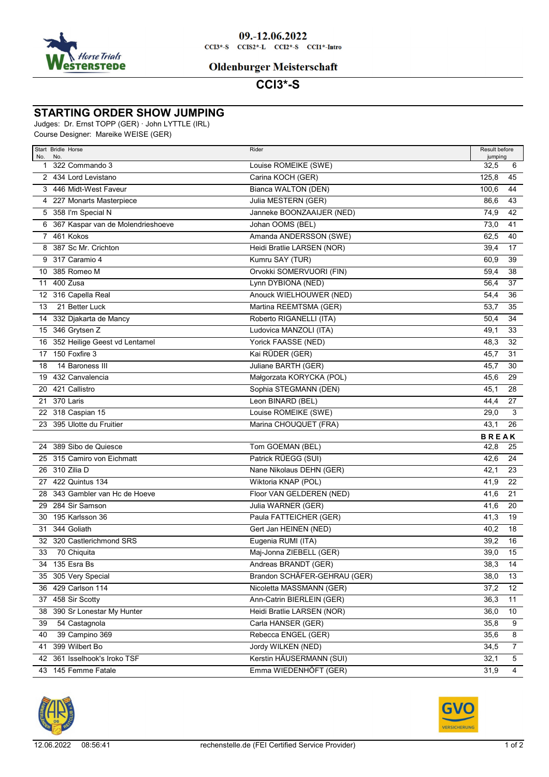

#### **Oldenburger Meisterschaft**

# **CCI3\*-S**

### **STARTING ORDER SHOW JUMPING**

Judges: Dr. Ernst TOPP (GER) · John LYTTLE (IRL)

Course Designer: Mareike WEISE (GER)

| No. | Start Bridle Horse<br>No.           | Rider                        | Result before<br>jumping |  |
|-----|-------------------------------------|------------------------------|--------------------------|--|
|     | 1 322 Commando 3                    | Louise ROMEIKE (SWE)         | 32,5<br>6                |  |
|     | 2 434 Lord Levistano                | Carina KOCH (GER)            | 125.8<br>45              |  |
|     | 3 446 Midt-West Faveur              | Bianca WALTON (DEN)          | 100,6<br>44              |  |
|     | 4 227 Monarts Masterpiece           | Julia MESTERN (GER)          | 86,6<br>43               |  |
|     | 5 358 I'm Special N                 | Janneke BOONZAAIJER (NED)    | 74,9<br>42               |  |
|     | 6 367 Kaspar van de Molendrieshoeve | Johan OOMS (BEL)             | 73,0<br>41               |  |
|     | 7 461 Kokos                         | Amanda ANDERSSON (SWE)       | 62,5<br>40               |  |
| 8   | 387 Sc Mr. Crichton                 | Heidi Bratlie LARSEN (NOR)   | 39,4<br>17               |  |
| 9   | 317 Caramio 4                       | Kumru SAY (TUR)              | 60,9<br>39               |  |
|     | 10 385 Romeo M                      | Orvokki SOMERVUORI (FIN)     | 59,4<br>38               |  |
| 11  | 400 Zusa                            | Lynn DYBIONA (NED)           | 56,4<br>37               |  |
|     | 12 316 Capella Real                 | Anouck WIELHOUWER (NED)      | 54,4<br>36               |  |
| 13  | 21 Better Luck                      | Martina REEMTSMA (GER)       | 53,7<br>35               |  |
|     | 14 332 Djakarta de Mancy            | Roberto RIGANELLI (ITA)      | 50,4<br>34               |  |
|     | 15 346 Grytsen Z                    | Ludovica MANZOLI (ITA)       | 49,1<br>33               |  |
| 16  | 352 Heilige Geest vd Lentamel       | Yorick FAASSE (NED)          | 48,3<br>32               |  |
| 17  | 150 Foxfire 3                       | Kai RÜDER (GER)              | 45,7<br>31               |  |
| 18  | 14 Baroness III                     | Juliane BARTH (GER)          | 45,7<br>30               |  |
| 19  | 432 Canvalencia                     | Małgorzata KORYCKA (POL)     | 45,6<br>29               |  |
| 20  | 421 Callistro                       | Sophia STEGMANN (DEN)        | 45,1<br>28               |  |
| 21  | 370 Laris                           | Leon BINARD (BEL)            | 44,4<br>27               |  |
|     | 22 318 Caspian 15                   | Louise ROMEIKE (SWE)         | 29,0<br>3                |  |
|     | 23 395 Ulotte du Fruitier           | Marina CHOUQUET (FRA)        | 43,1<br>26               |  |
|     |                                     |                              | <b>BREAK</b>             |  |
| 24  | 389 Sibo de Quiesce                 | Tom GOEMAN (BEL)             | 42,8<br>25               |  |
|     | 25 315 Camiro von Eichmatt          | Patrick RÜEGG (SUI)          | 42,6<br>24               |  |
|     | 26 310 Zilia D                      | Nane Nikolaus DEHN (GER)     | 42,1<br>23               |  |
|     | 27 422 Quintus 134                  | Wiktoria KNAP (POL)          | 41,9<br>22               |  |
|     | 28 343 Gambler van Hc de Hoeve      | Floor VAN GELDEREN (NED)     | 41,6<br>21               |  |
|     | 29 284 Sir Samson                   | Julia WARNER (GER)           | 41,6<br>20               |  |
|     | 30 195 Karlsson 36                  | Paula FATTEICHER (GER)       | 41,3<br>19               |  |
|     | 31 344 Goliath                      | Gert Jan HEINEN (NED)        | 40,2<br>18               |  |
|     | 32 320 Castlerichmond SRS           | Eugenia RUMI (ITA)           | 39,2<br>16               |  |
| 33  | 70 Chiquita                         | Maj-Jonna ZIEBELL (GER)      | 15<br>39,0               |  |
|     | 34 135 Esra Bs                      | Andreas BRANDT (GER)         | 38,3<br>14               |  |
|     | 35 305 Very Special                 | Brandon SCHÄFER-GEHRAU (GER) | 38,0<br>13               |  |
|     | 36 429 Carlson 114                  | Nicoletta MASSMANN (GER)     | 37,2<br>12               |  |
|     | 37 458 Sir Scotty                   | Ann-Catrin BIERLEIN (GER)    | 36,3<br>11               |  |
|     | 38 390 Sr Lonestar My Hunter        | Heidi Bratlie LARSEN (NOR)   | 36,0<br>10               |  |
| 39  | 54 Castagnola                       | Carla HANSER (GER)           | 35,8<br>9                |  |
| 40  | 39 Campino 369                      | Rebecca ENGEL (GER)          | 35,6<br>8                |  |
|     | 41 399 Wilbert Bo                   | Jordy WILKEN (NED)           | 34,5<br>7                |  |
|     | 42 361 Isselhook's Iroko TSF        | Kerstin HÄUSERMANN (SUI)     | $\sqrt{5}$<br>32,1       |  |
|     | 43 145 Femme Fatale                 | Emma WIEDENHÖFT (GER)        | $\overline{4}$<br>31,9   |  |